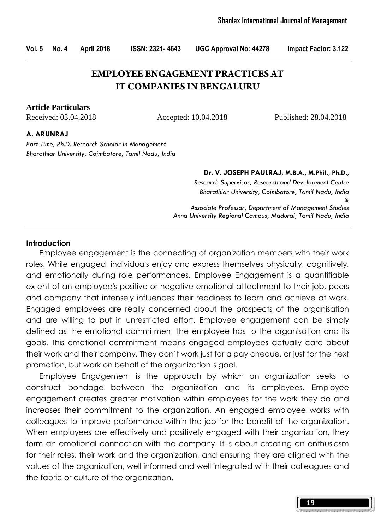## **EMPLOYEE ENGAGEMENT PRACTICES AT IT COMPANIES IN BENGALURU**

#### **Article Particulars**

Received: 03.04.2018 Accepted: 10.04.2018 Published: 28.04.2018

#### A. ARUNRAJ

Part-Time, Ph.D. Research Scholar in Management Bharathiar University, Coimbatore, Tamil Nadu, India

#### Dr. V. JOSEPH PAULRAJ, M.B.A., M.Phil., Ph.D.,

Research Supervisor, Research and Development Centre Bharathiar University, Coimbatore, Tamil Nadu, India & Associate Professor, Department of Management Studies Anna University Regional Campus, Madurai, Tamil Nadu, India

#### **Introduction**

 Employee engagement is the connecting of organization members with their work roles. While engaged, individuals enjoy and express themselves physically, cognitively, and emotionally during role performances. Employee Engagement is a quantifiable extent of an employee's positive or negative emotional attachment to their job, peers and company that intensely influences their readiness to learn and achieve at work. Engaged employees are really concerned about the prospects of the organisation and are willing to put in unrestricted effort. Employee engagement can be simply defined as the emotional commitment the employee has to the organisation and its goals. This emotional commitment means engaged employees actually care about their work and their company. They don't work just for a pay cheque, or just for the next promotion, but work on behalf of the organization's goal.

 Employee Engagement is the approach by which an organization seeks to construct bondage between the organization and its employees. Employee engagement creates greater motivation within employees for the work they do and increases their commitment to the organization. An engaged employee works with colleagues to improve performance within the job for the benefit of the organization. When employees are effectively and positively engaged with their organization, they form an emotional connection with the company. It is about creating an enthusiasm for their roles, their work and the organization, and ensuring they are aligned with the values of the organization, well informed and well integrated with their colleagues and the fabric or culture of the organization.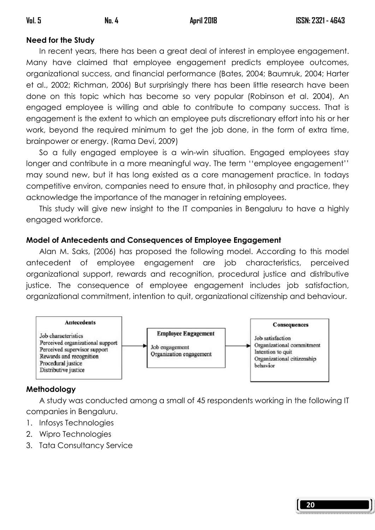# Need for the Study

In recent years, there has been a great deal of interest in employee engagement. Many have claimed that employee engagement predicts employee outcomes, organizational success, and financial performance (Bates, 2004; Baumruk, 2004; Harter et al., 2002; Richman, 2006) But surprisingly there has been little research have been done on this topic which has become so very popular (Robinson et al. 2004), An engaged employee is willing and able to contribute to company success. That is engagement is the extent to which an employee puts discretionary effort into his or her work, beyond the required minimum to get the job done, in the form of extra time, brainpower or energy. (Rama Devi, 2009)

 So a fully engaged employee is a win-win situation. Engaged employees stay longer and contribute in a more meaningful way. The term ''employee engagement'' may sound new, but it has long existed as a core management practice. In todays competitive environ, companies need to ensure that, in philosophy and practice, they acknowledge the importance of the manager in retaining employees.

 This study will give new insight to the IT companies in Bengaluru to have a highly engaged workforce.

## Model of Antecedents and Consequences of Employee Engagement

 Alan M. Saks, (2006) has proposed the following model. According to this model antecedent of employee engagement are job characteristics, perceived organizational support, rewards and recognition, procedural justice and distributive justice. The consequence of employee engagement includes job satisfaction, organizational commitment, intention to quit, organizational citizenship and behaviour.



## Methodology

 A study was conducted among a small of 45 respondents working in the following IT companies in Bengaluru.

- 1. Infosys Technologies
- 2. Wipro Technologies
- 3. Tata Consultancy Service

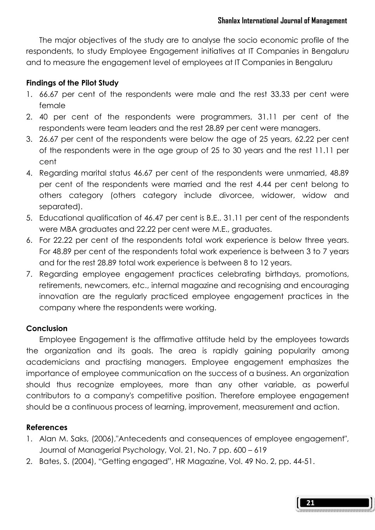The major objectives of the study are to analyse the socio economic profile of the respondents, to study Employee Engagement initiatives at IT Companies in Bengaluru and to measure the engagement level of employees at IT Companies in Bengaluru

### Findings of the Pilot Study

- 1. 66.67 per cent of the respondents were male and the rest 33.33 per cent were female
- 2. 40 per cent of the respondents were programmers, 31.11 per cent of the respondents were team leaders and the rest 28.89 per cent were managers.
- 3. 26.67 per cent of the respondents were below the age of 25 years, 62.22 per cent of the respondents were in the age group of 25 to 30 years and the rest 11.11 per cent
- 4. Regarding marital status 46.67 per cent of the respondents were unmarried, 48.89 per cent of the respondents were married and the rest 4.44 per cent belong to others category (others category include divorcee, widower, widow and separated).
- 5. Educational qualification of 46.47 per cent is B.E.. 31.11 per cent of the respondents were MBA graduates and 22.22 per cent were M.E., graduates.
- 6. For 22.22 per cent of the respondents total work experience is below three years. For 48.89 per cent of the respondents total work experience is between 3 to 7 years and for the rest 28.89 total work experience is between 8 to 12 years.
- 7. Regarding employee engagement practices celebrating birthdays, promotions, retirements, newcomers, etc., internal magazine and recognising and encouraging innovation are the regularly practiced employee engagement practices in the company where the respondents were working.

### **Conclusion**

 Employee Engagement is the affirmative attitude held by the employees towards the organization and its goals. The area is rapidly gaining popularity among academicians and practising managers. Employee engagement emphasizes the importance of employee communication on the success of a business. An organization should thus recognize employees, more than any other variable, as powerful contributors to a company's competitive position. Therefore employee engagement should be a continuous process of learning, improvement, measurement and action.

### References

- 1. Alan M. Saks, (2006),"Antecedents and consequences of employee engagement", Journal of Managerial Psychology, Vol. 21, No. 7 pp. 600 – 619
- 2. Bates, S. (2004), "Getting engaged", HR Magazine, Vol. 49 No. 2, pp. 44-51.